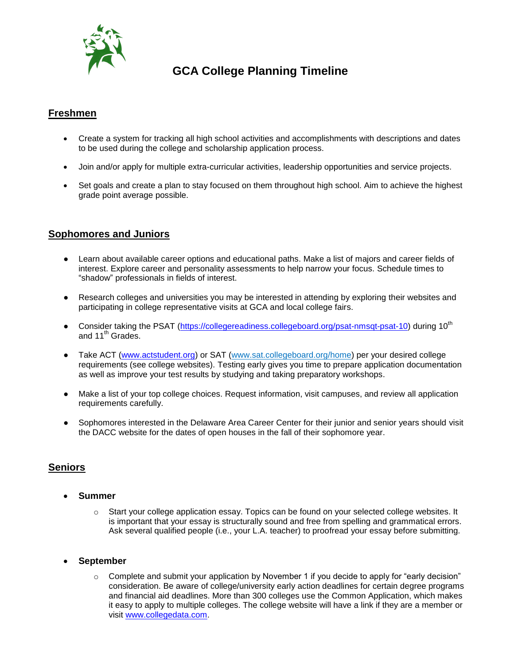

# **GCA College Planning Timeline**

## **Freshmen**

- Create a system for tracking all high school activities and accomplishments with descriptions and dates to be used during the college and scholarship application process.
- Join and/or apply for multiple extra-curricular activities, leadership opportunities and service projects.
- Set goals and create a plan to stay focused on them throughout high school. Aim to achieve the highest grade point average possible.

## **Sophomores and Juniors**

- Learn about available career options and educational paths. Make a list of majors and career fields of interest. Explore career and personality assessments to help narrow your focus. Schedule times to "shadow" professionals in fields of interest.
- Research colleges and universities you may be interested in attending by exploring their websites and participating in college representative visits at GCA and local college fairs.
- Consider taking the PSAT [\(https://collegereadiness.collegeboard.org/psat-nmsqt-psat-10\)](https://collegereadiness.collegeboard.org/psat-nmsqt-psat-10) during 10<sup>th</sup> and 11<sup>th</sup> Grades.
- Take ACT [\(www.actstudent.org\)](http://www.actstudent.org/) or SAT (www.sat.collegeboard.org/home) per your desired college requirements (see college websites). Testing early gives you time to prepare application documentation as well as improve your test results by studying and taking preparatory workshops.
- Make a list of your top college choices. Request information, visit campuses, and review all application requirements carefully.
- Sophomores interested in the Delaware Area Career Center for their junior and senior years should visit the DACC website for the dates of open houses in the fall of their sophomore year.

## **Seniors**

- **Summer**
	- o Start your college application essay. Topics can be found on your selected college websites. It is important that your essay is structurally sound and free from spelling and grammatical errors. Ask several qualified people (i.e., your L.A. teacher) to proofread your essay before submitting.

#### **September**

o Complete and submit your application by November 1 if you decide to apply for "early decision" consideration. Be aware of college/university early action deadlines for certain degree programs and financial aid deadlines. More than 300 colleges use the Common Application, which makes it easy to apply to multiple colleges. The college website will have a link if they are a member or visit [www.collegedata.com.](http://www.collegedata.com/)